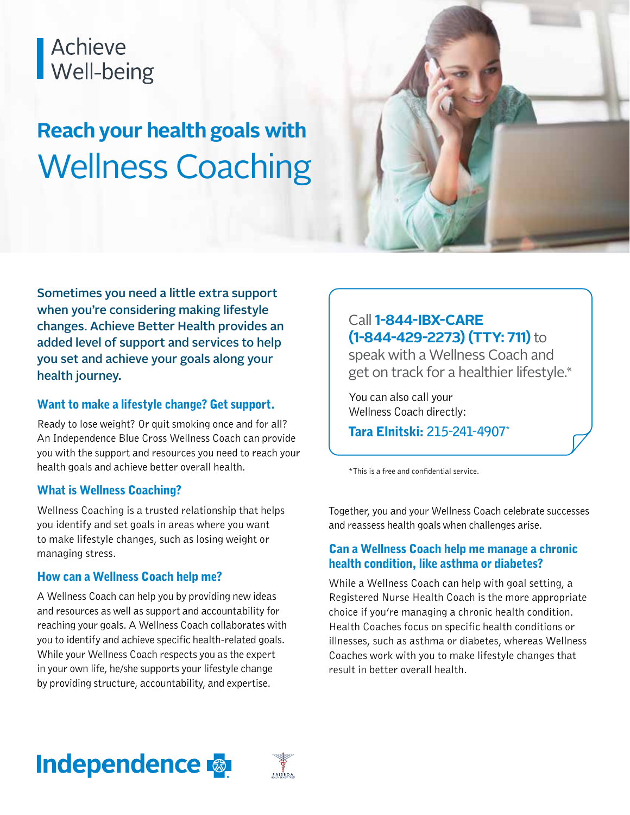# Achieve<br>Well-being

## **Reach your health goals with** Wellness Coaching



Sometimes you need a little extra support when you're considering making lifestyle changes. Achieve Better Health provides an added level of support and services to help you set and achieve your goals along your health journey.

#### Want to make a lifestyle change? Get support.

Ready to lose weight? Or quit smoking once and for all? An Independence Blue Cross Wellness Coach can provide you with the support and resources you need to reach your health goals and achieve better overall health.

#### What is Wellness Coaching?

Wellness Coaching is a trusted relationship that helps you identify and set goals in areas where you want to make lifestyle changes, such as losing weight or managing stress.

#### How can a Wellness Coach help me?

A Wellness Coach can help you by providing new ideas and resources as well as support and accountability for reaching your goals. A Wellness Coach collaborates with you to identify and achieve specific health-related goals. While your Wellness Coach respects you as the expert in your own life, he/she supports your lifestyle change by providing structure, accountability, and expertise.

#### Call **1-844-IBX-CARE (1-844-429-2273) (TTY: 711)** to

speak with a Wellness Coach and get on track for a healthier lifestyle.\*

You can also call your Wellness Coach directly:

Tara Elnitski: **215-241-4907\***

\*This is a free and confidential service.

Together, you and your Wellness Coach celebrate successes and reassess health goals when challenges arise.

#### Can a Wellness Coach help me manage a chronic health condition, like asthma or diabetes?

While a Wellness Coach can help with goal setting, a Registered Nurse Health Coach is the more appropriate choice if you're managing a chronic health condition. Health Coaches focus on specific health conditions or illnesses, such as asthma or diabetes, whereas Wellness Coaches work with you to make lifestyle changes that result in better overall health.

### **Independence**